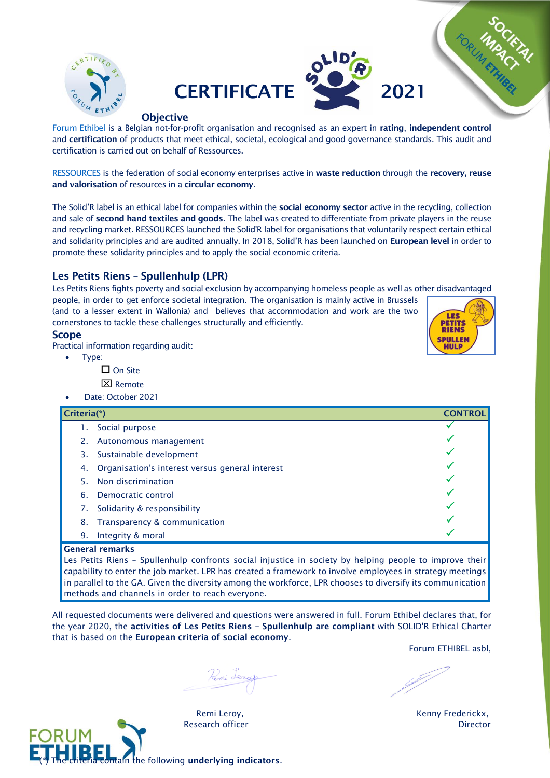



### **Objective**

[Forum Ethibel](http://www.forumethibel.org/content/home.html?lang=en) is a Belgian not-for-profit organisation and recognised as an expert in rating, independent control and certification of products that meet ethical, societal, ecological and good governance standards. This audit and certification is carried out on behalf of Ressources.

[RESSOURCES](https://www.res-sources.be/) is the federation of social economy enterprises active in waste reduction through the recovery, reuse and valorisation of resources in a circular economy.

The Solid'R label is an ethical label for companies within the social economy sector active in the recycling, collection and sale of second hand textiles and goods. The label was created to differentiate from private players in the reuse and recycling market. RESSOURCES launched the Solid'R label for organisations that voluntarily respect certain ethical and solidarity principles and are audited annually. In 2018, Solid'R has been launched on European level in order to promote these solidarity principles and to apply the social economic criteria.

# Les Petits Riens – Spullenhulp (LPR)

Les Petits Riens fights poverty and social exclusion by accompanying homeless people as well as other disadvantaged

people, in order to get enforce societal integration. The organisation is mainly active in Brussels (and to a lesser extent in Wallonia) and believes that accommodation and work are the two cornerstones to tackle these challenges structurally and efficiently.

## Scope

Practical information regarding audit:

- Type:
	- $\square$  On Site
	- **X** Remote
- Date: October 2021

| Criteria(*)                                           | <b>CONTROI</b> |
|-------------------------------------------------------|----------------|
| Social purpose                                        |                |
| 2.<br>Autonomous management                           |                |
| Sustainable development<br>3.                         |                |
| Organisation's interest versus general interest<br>4. |                |
| Non discrimination<br>5.                              |                |
| Democratic control<br>6.                              |                |
| Solidarity & responsibility<br>7.                     |                |
| Transparency & communication<br>8.                    |                |
| Integrity & moral<br>9.                               |                |
| <b>General remarks</b>                                |                |

### General remarks

Les Petits Riens – Spullenhulp confronts social injustice in society by helping people to improve their capability to enter the job market. LPR has created a framework to involve employees in strategy meetings in parallel to the GA. Given the diversity among the workforce, LPR chooses to diversify its communication methods and channels in order to reach everyone.

All requested documents were delivered and questions were answered in full. Forum Ethibel declares that, for the year 2020, the activities of Les Petits Riens – Spullenhulp are compliant with SOLID'R Ethical Charter that is based on the European criteria of social economy.

Forum ETHIBEL asbl,



Perni Lezas

**BELIE CONTAIN THE CONTAINS CONTAINS CONTAIN** the following underlying indicators.



Remi Leroy, **Kenny Frederickx**, Research officer **Director**  $\overline{D}$